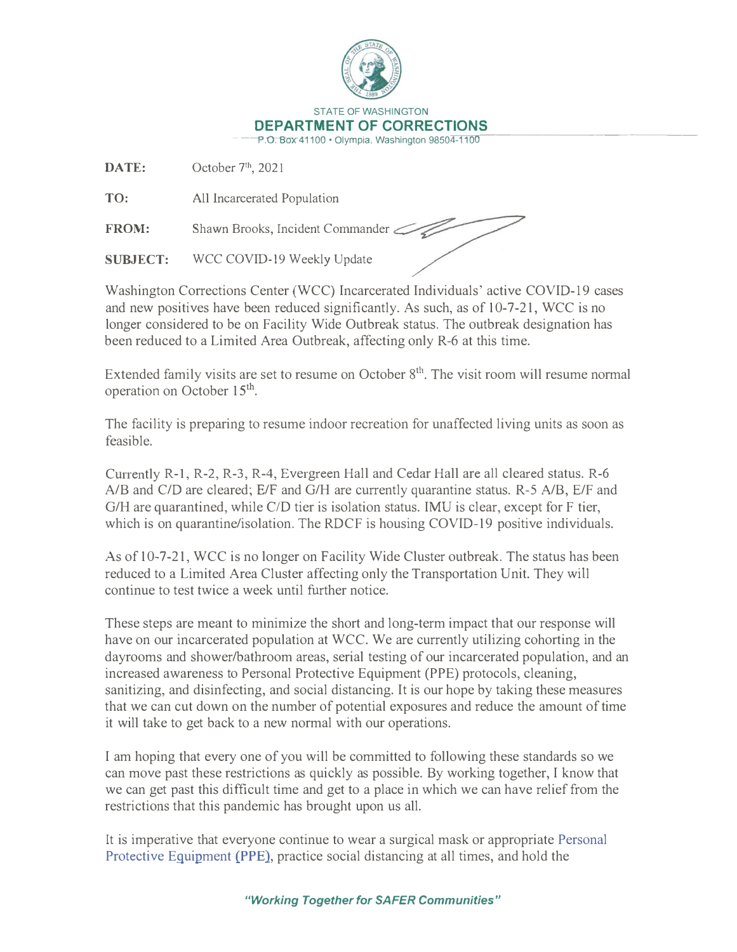

**DATE:** October 7**th,** 2021

**TO:** All Incarcerated Population

FROM: Shawn Brooks, Incident Commander

**SUBJECT:** WCC COVID-19 Weekly Update

Washington Corrections Center (WCC) Incarcerated Individuals' active COVID-19 cases and new positives have been reduced significantly. As such, as of 10-7-21, WCC is no longer considered to be on Facility Wide Outbreak status. The outbreak designation has been reduced to a Limited Area Outbreak, affecting only R-6 at this time.

Extended family visits are set to resume on October  $8<sup>th</sup>$ . The visit room will resume normal operation on October 15<sup>th</sup>.

The facility is preparing to resume indoor recreation for unaffected living units as soon as feasible.

Currently R-1, R-2, R-3, R-4, Evergreen Hall and Cedar Hall are all cleared status. R-6 A/B and C/D are cleared; E/F and G/H are currently quarantine status. R-5 A/B, E/F and G/H are quarantined, while  $C/D$  tier is isolation status. IMU is clear, except for F tier, which is on quarantine/isolation. The RDCF is housing COVID-19 positive individuals.

As of 10-7-21, WCC is no longer on Facility Wide Cluster outbreak. The status has been reduced to a Limited Area Cluster affecting only the Transportation Unit. They will continue to test twice a week until further notice.

These steps are meant to minimize the short and long-term impact that our response will have on our incarcerated population at WCC. We are currently utilizing cohorting in the dayrooms and shower/bathroom areas, serial testing of our incarcerated population, and an increased awareness to Personal Protective Equipment (PPE) protocols, cleaning, sanitizing, and disinfecting, and social distancing. It is our hope by taking these measures that we can cut down on the number of potential exposures and reduce the amount of time it will take to get back to a new normal with our operations.

I am hoping that every one of you will be committed to following these standards so we can move past these restrictions as quickly as possible. By working together, I know that we can get past this difficult time and get to a place in which we can have relief from the restrictions that this pandemic has brought upon us all.

It is imperative that everyone continue to wear a surgical mask or appropriate Personal Protective Equipment **(PPE).** practice social distancing at all times, and hold the

*"Working Together for SAFER Communities"*